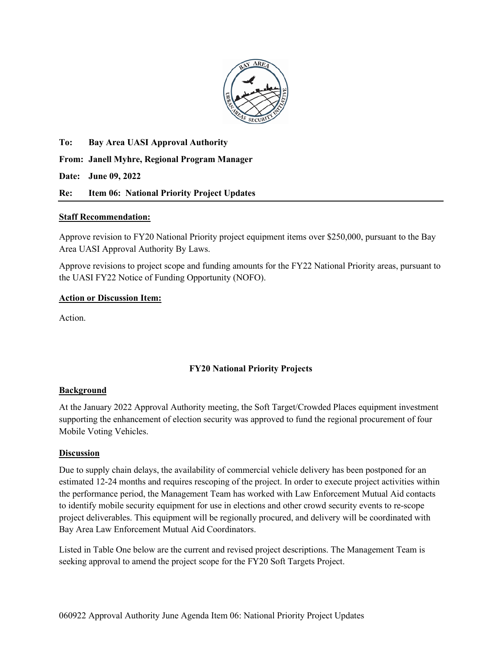

**To: Bay Area UASI Approval Authority** 

**From: Janell Myhre, Regional Program Manager** 

**Date: June 09, 2022** 

### **Re: Item 06: National Priority Project Updates**

### **Staff Recommendation:**

Approve revision to FY20 National Priority project equipment items over \$250,000, pursuant to the Bay Area UASI Approval Authority By Laws.

Approve revisions to project scope and funding amounts for the FY22 National Priority areas, pursuant to the UASI FY22 Notice of Funding Opportunity (NOFO).

### **Action or Discussion Item:**

Action.

## **FY20 National Priority Projects**

### **Background**

At the January 2022 Approval Authority meeting, the Soft Target/Crowded Places equipment investment supporting the enhancement of election security was approved to fund the regional procurement of four Mobile Voting Vehicles.

### **Discussion**

Due to supply chain delays, the availability of commercial vehicle delivery has been postponed for an estimated 12-24 months and requires rescoping of the project. In order to execute project activities within the performance period, the Management Team has worked with Law Enforcement Mutual Aid contacts to identify mobile security equipment for use in elections and other crowd security events to re-scope project deliverables. This equipment will be regionally procured, and delivery will be coordinated with Bay Area Law Enforcement Mutual Aid Coordinators.

Listed in Table One below are the current and revised project descriptions. The Management Team is seeking approval to amend the project scope for the FY20 Soft Targets Project.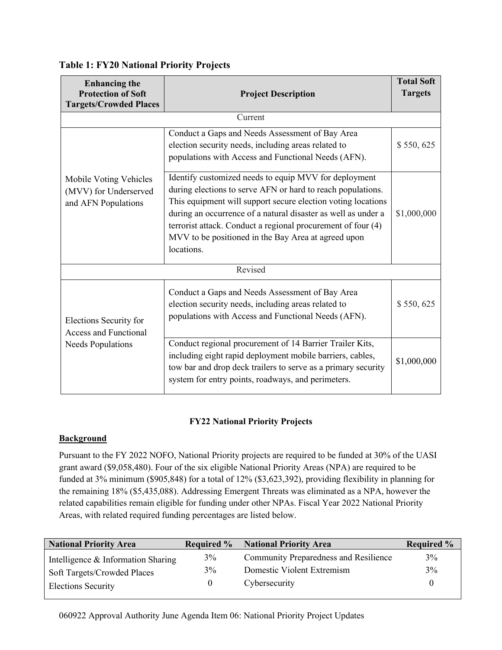| <b>Enhancing</b> the<br><b>Protection of Soft</b><br><b>Targets/Crowded Places</b> | <b>Project Description</b>                                                                                                                                                                                                                                                                                                                                                                 | <b>Total Soft</b><br><b>Targets</b> |  |  |
|------------------------------------------------------------------------------------|--------------------------------------------------------------------------------------------------------------------------------------------------------------------------------------------------------------------------------------------------------------------------------------------------------------------------------------------------------------------------------------------|-------------------------------------|--|--|
| Current                                                                            |                                                                                                                                                                                                                                                                                                                                                                                            |                                     |  |  |
| Mobile Voting Vehicles<br>(MVV) for Underserved<br>and AFN Populations             | Conduct a Gaps and Needs Assessment of Bay Area<br>election security needs, including areas related to<br>populations with Access and Functional Needs (AFN).                                                                                                                                                                                                                              | \$550,625                           |  |  |
|                                                                                    | Identify customized needs to equip MVV for deployment<br>during elections to serve AFN or hard to reach populations.<br>This equipment will support secure election voting locations<br>during an occurrence of a natural disaster as well as under a<br>terrorist attack. Conduct a regional procurement of four (4)<br>MVV to be positioned in the Bay Area at agreed upon<br>locations. | \$1,000,000                         |  |  |
|                                                                                    | Revised                                                                                                                                                                                                                                                                                                                                                                                    |                                     |  |  |
| Elections Security for<br><b>Access and Functional</b><br><b>Needs Populations</b> | Conduct a Gaps and Needs Assessment of Bay Area<br>election security needs, including areas related to<br>populations with Access and Functional Needs (AFN).                                                                                                                                                                                                                              | \$550,625                           |  |  |
|                                                                                    | Conduct regional procurement of 14 Barrier Trailer Kits,<br>including eight rapid deployment mobile barriers, cables,<br>tow bar and drop deck trailers to serve as a primary security<br>system for entry points, roadways, and perimeters.                                                                                                                                               | \$1,000,000                         |  |  |

# **Table 1: FY20 National Priority Projects**

## **FY22 National Priority Projects**

## **Background**

Pursuant to the FY 2022 NOFO, National Priority projects are required to be funded at 30% of the UASI grant award (\$9,058,480). Four of the six eligible National Priority Areas (NPA) are required to be funded at 3% minimum (\$905,848) for a total of 12% (\$3,623,392), providing flexibility in planning for the remaining 18% (\$5,435,088). Addressing Emergent Threats was eliminated as a NPA, however the related capabilities remain eligible for funding under other NPAs. Fiscal Year 2022 National Priority Areas, with related required funding percentages are listed below.

| <b>National Priority Area</b>      | <b>Required %</b> | <b>National Priority Area</b>                | <b>Required %</b> |
|------------------------------------|-------------------|----------------------------------------------|-------------------|
| Intelligence & Information Sharing | 3%                | <b>Community Preparedness and Resilience</b> | 3%                |
| Soft Targets/Crowded Places        | 3%                | Domestic Violent Extremism                   | 3%                |
| <b>Elections Security</b>          |                   | Cybersecurity                                |                   |

060922 Approval Authority June Agenda Item 06: National Priority Project Updates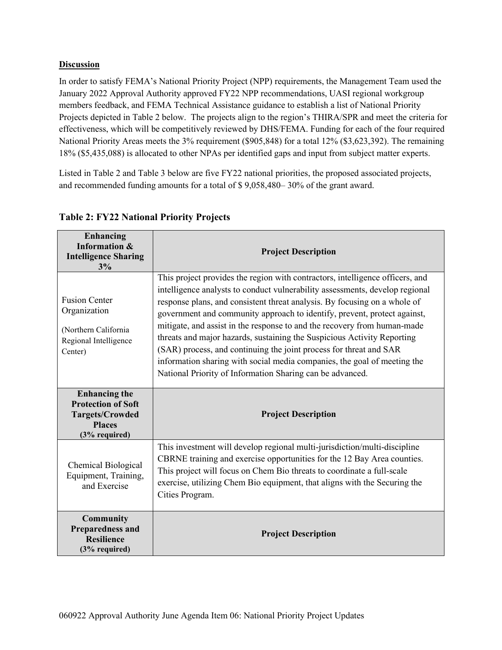# **Discussion**

In order to satisfy FEMA's National Priority Project (NPP) requirements, the Management Team used the January 2022 Approval Authority approved FY22 NPP recommendations, UASI regional workgroup members feedback, and FEMA Technical Assistance guidance to establish a list of National Priority Projects depicted in Table 2 below. The projects align to the region's THIRA/SPR and meet the criteria for effectiveness, which will be competitively reviewed by DHS/FEMA. Funding for each of the four required National Priority Areas meets the 3% requirement (\$905,848) for a total 12% (\$3,623,392). The remaining 18% (\$5,435,088) is allocated to other NPAs per identified gaps and input from subject matter experts.

Listed in Table 2 and Table 3 below are five FY22 national priorities, the proposed associated projects, and recommended funding amounts for a total of \$ 9,058,480– 30% of the grant award.

| Enhancing<br><b>Information &amp;</b><br><b>Intelligence Sharing</b><br>3%                                      | <b>Project Description</b>                                                                                                                                                                                                                                                                                                                                                                                                                                                                                                                                                                                                                                                                   |
|-----------------------------------------------------------------------------------------------------------------|----------------------------------------------------------------------------------------------------------------------------------------------------------------------------------------------------------------------------------------------------------------------------------------------------------------------------------------------------------------------------------------------------------------------------------------------------------------------------------------------------------------------------------------------------------------------------------------------------------------------------------------------------------------------------------------------|
| <b>Fusion Center</b><br>Organization<br>(Northern California<br>Regional Intelligence<br>Center)                | This project provides the region with contractors, intelligence officers, and<br>intelligence analysts to conduct vulnerability assessments, develop regional<br>response plans, and consistent threat analysis. By focusing on a whole of<br>government and community approach to identify, prevent, protect against,<br>mitigate, and assist in the response to and the recovery from human-made<br>threats and major hazards, sustaining the Suspicious Activity Reporting<br>(SAR) process, and continuing the joint process for threat and SAR<br>information sharing with social media companies, the goal of meeting the<br>National Priority of Information Sharing can be advanced. |
| <b>Enhancing the</b><br><b>Protection of Soft</b><br><b>Targets/Crowded</b><br><b>Places</b><br>$(3%$ required) | <b>Project Description</b>                                                                                                                                                                                                                                                                                                                                                                                                                                                                                                                                                                                                                                                                   |
| Chemical Biological<br>Equipment, Training,<br>and Exercise                                                     | This investment will develop regional multi-jurisdiction/multi-discipline<br>CBRNE training and exercise opportunities for the 12 Bay Area counties.<br>This project will focus on Chem Bio threats to coordinate a full-scale<br>exercise, utilizing Chem Bio equipment, that aligns with the Securing the<br>Cities Program.                                                                                                                                                                                                                                                                                                                                                               |
| <b>Community</b><br><b>Preparedness and</b><br><b>Resilience</b><br>(3% required)                               | <b>Project Description</b>                                                                                                                                                                                                                                                                                                                                                                                                                                                                                                                                                                                                                                                                   |

# **Table 2: FY22 National Priority Projects**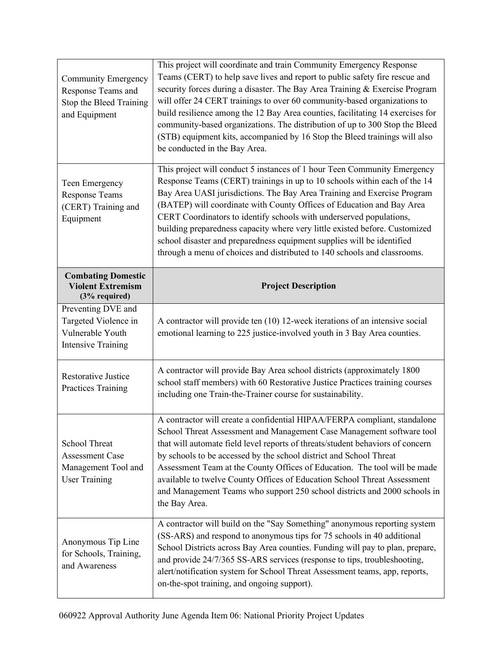| <b>Community Emergency</b><br>Response Teams and<br>Stop the Bleed Training<br>and Equipment  | This project will coordinate and train Community Emergency Response<br>Teams (CERT) to help save lives and report to public safety fire rescue and<br>security forces during a disaster. The Bay Area Training & Exercise Program<br>will offer 24 CERT trainings to over 60 community-based organizations to<br>build resilience among the 12 Bay Area counties, facilitating 14 exercises for<br>community-based organizations. The distribution of up to 300 Stop the Bleed<br>(STB) equipment kits, accompanied by 16 Stop the Bleed trainings will also<br>be conducted in the Bay Area.                         |  |  |
|-----------------------------------------------------------------------------------------------|-----------------------------------------------------------------------------------------------------------------------------------------------------------------------------------------------------------------------------------------------------------------------------------------------------------------------------------------------------------------------------------------------------------------------------------------------------------------------------------------------------------------------------------------------------------------------------------------------------------------------|--|--|
| Teen Emergency<br><b>Response Teams</b><br>(CERT) Training and<br>Equipment                   | This project will conduct 5 instances of 1 hour Teen Community Emergency<br>Response Teams (CERT) trainings in up to 10 schools within each of the 14<br>Bay Area UASI jurisdictions. The Bay Area Training and Exercise Program<br>(BATEP) will coordinate with County Offices of Education and Bay Area<br>CERT Coordinators to identify schools with underserved populations,<br>building preparedness capacity where very little existed before. Customized<br>school disaster and preparedness equipment supplies will be identified<br>through a menu of choices and distributed to 140 schools and classrooms. |  |  |
| <b>Combating Domestic</b><br><b>Violent Extremism</b><br>(3% required)                        | <b>Project Description</b>                                                                                                                                                                                                                                                                                                                                                                                                                                                                                                                                                                                            |  |  |
| Preventing DVE and<br>Targeted Violence in<br>Vulnerable Youth<br><b>Intensive Training</b>   | A contractor will provide ten (10) 12-week iterations of an intensive social<br>emotional learning to 225 justice-involved youth in 3 Bay Area counties.                                                                                                                                                                                                                                                                                                                                                                                                                                                              |  |  |
| <b>Restorative Justice</b><br><b>Practices Training</b>                                       | A contractor will provide Bay Area school districts (approximately 1800<br>school staff members) with 60 Restorative Justice Practices training courses<br>including one Train-the-Trainer course for sustainability.                                                                                                                                                                                                                                                                                                                                                                                                 |  |  |
| <b>School Threat</b><br><b>Assessment Case</b><br>Management Tool and<br><b>User Training</b> | A contractor will create a confidential HIPAA/FERPA compliant, standalone<br>School Threat Assessment and Management Case Management software tool<br>that will automate field level reports of threats/student behaviors of concern<br>by schools to be accessed by the school district and School Threat<br>Assessment Team at the County Offices of Education. The tool will be made<br>available to twelve County Offices of Education School Threat Assessment<br>and Management Teams who support 250 school districts and 2000 schools in<br>the Bay Area.                                                     |  |  |
| Anonymous Tip Line<br>for Schools, Training,<br>and Awareness                                 | A contractor will build on the "Say Something" anonymous reporting system<br>(SS-ARS) and respond to anonymous tips for 75 schools in 40 additional<br>School Districts across Bay Area counties. Funding will pay to plan, prepare,<br>and provide 24/7/365 SS-ARS services (response to tips, troubleshooting,<br>alert/notification system for School Threat Assessment teams, app, reports,<br>on-the-spot training, and ongoing support).                                                                                                                                                                        |  |  |